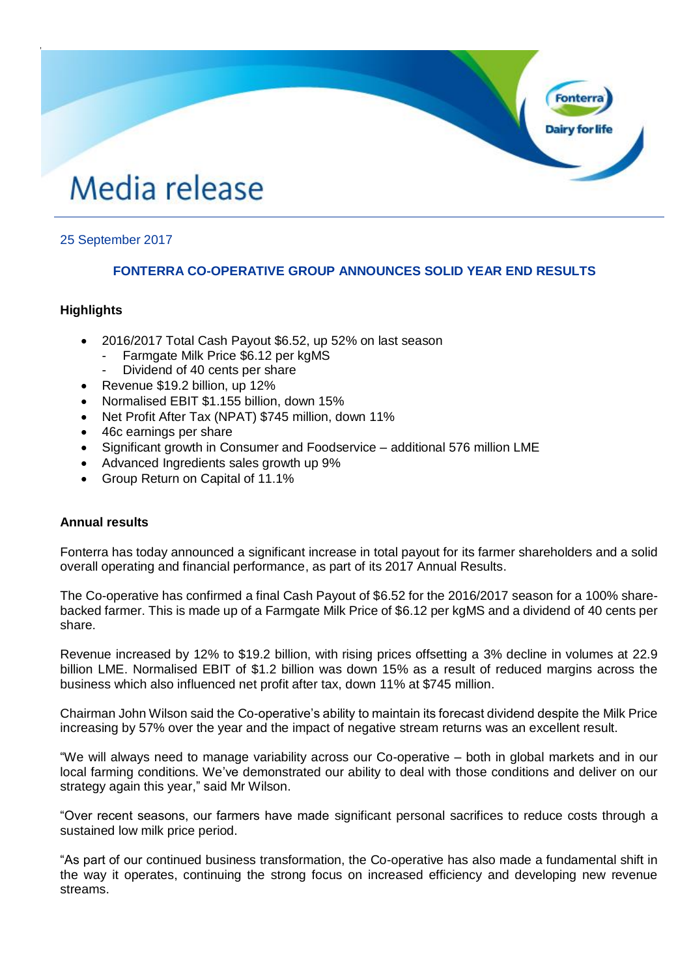# Media release

# 25 September 2017

# **FONTERRA CO-OPERATIVE GROUP ANNOUNCES SOLID YEAR END RESULTS**

## **Highlights**

,

- 2016/2017 Total Cash Payout \$6.52, up 52% on last season
	- Farmgate Milk Price \$6.12 per kgMS
	- Dividend of 40 cents per share
- Revenue \$19.2 billion, up 12%
- Normalised EBIT \$1.155 billion, down 15%
- Net Profit After Tax (NPAT) \$745 million, down 11%
- 46c earnings per share
- Significant growth in Consumer and Foodservice additional 576 million LME
- Advanced Ingredients sales growth up 9%
- Group Return on Capital of 11.1%

# **Annual results**

Fonterra has today announced a significant increase in total payout for its farmer shareholders and a solid overall operating and financial performance, as part of its 2017 Annual Results.

The Co-operative has confirmed a final Cash Payout of \$6.52 for the 2016/2017 season for a 100% sharebacked farmer. This is made up of a Farmgate Milk Price of \$6.12 per kgMS and a dividend of 40 cents per share.

Revenue increased by 12% to \$19.2 billion, with rising prices offsetting a 3% decline in volumes at 22.9 billion LME. Normalised EBIT of \$1.2 billion was down 15% as a result of reduced margins across the business which also influenced net profit after tax, down 11% at \$745 million.

Chairman John Wilson said the Co-operative's ability to maintain its forecast dividend despite the Milk Price increasing by 57% over the year and the impact of negative stream returns was an excellent result.

"We will always need to manage variability across our Co-operative – both in global markets and in our local farming conditions. We've demonstrated our ability to deal with those conditions and deliver on our strategy again this year," said Mr Wilson.

"Over recent seasons, our farmers have made significant personal sacrifices to reduce costs through a sustained low milk price period.

"As part of our continued business transformation, the Co-operative has also made a fundamental shift in the way it operates, continuing the strong focus on increased efficiency and developing new revenue streams.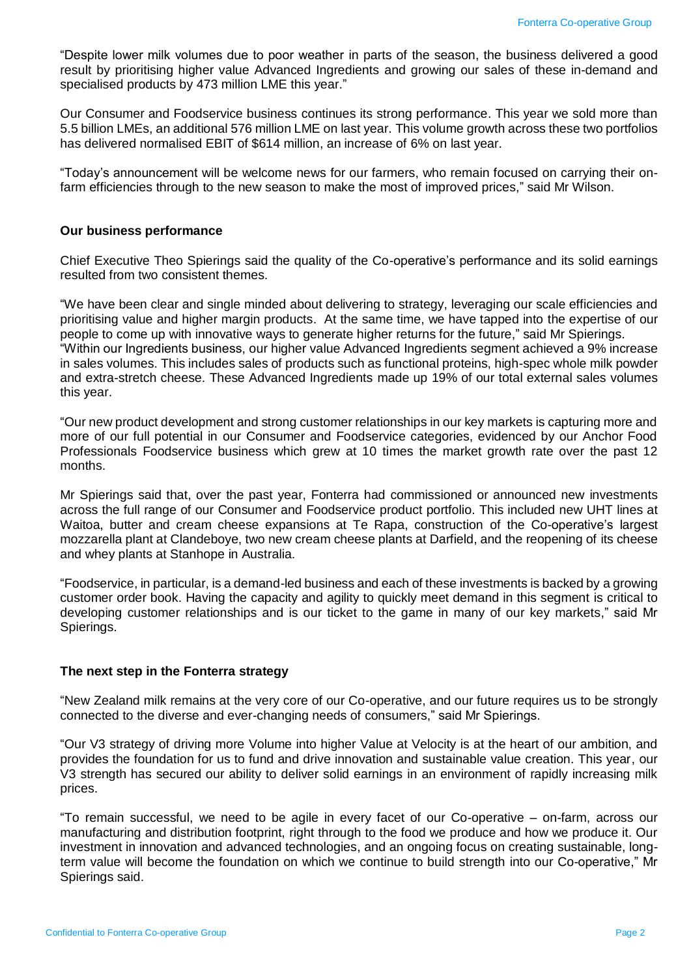"Despite lower milk volumes due to poor weather in parts of the season, the business delivered a good result by prioritising higher value Advanced Ingredients and growing our sales of these in-demand and specialised products by 473 million LME this year."

Our Consumer and Foodservice business continues its strong performance. This year we sold more than 5.5 billion LMEs, an additional 576 million LME on last year. This volume growth across these two portfolios has delivered normalised EBIT of \$614 million, an increase of 6% on last year.

"Today's announcement will be welcome news for our farmers, who remain focused on carrying their onfarm efficiencies through to the new season to make the most of improved prices," said Mr Wilson.

#### **Our business performance**

Chief Executive Theo Spierings said the quality of the Co-operative's performance and its solid earnings resulted from two consistent themes.

"We have been clear and single minded about delivering to strategy, leveraging our scale efficiencies and prioritising value and higher margin products. At the same time, we have tapped into the expertise of our people to come up with innovative ways to generate higher returns for the future," said Mr Spierings. "Within our Ingredients business, our higher value Advanced Ingredients segment achieved a 9% increase in sales volumes. This includes sales of products such as functional proteins, high-spec whole milk powder and extra-stretch cheese. These Advanced Ingredients made up 19% of our total external sales volumes this year.

"Our new product development and strong customer relationships in our key markets is capturing more and more of our full potential in our Consumer and Foodservice categories, evidenced by our Anchor Food Professionals Foodservice business which grew at 10 times the market growth rate over the past 12 months.

Mr Spierings said that, over the past year, Fonterra had commissioned or announced new investments across the full range of our Consumer and Foodservice product portfolio. This included new UHT lines at Waitoa, butter and cream cheese expansions at Te Rapa, construction of the Co-operative's largest mozzarella plant at Clandeboye, two new cream cheese plants at Darfield, and the reopening of its cheese and whey plants at Stanhope in Australia.

"Foodservice, in particular, is a demand-led business and each of these investments is backed by a growing customer order book. Having the capacity and agility to quickly meet demand in this segment is critical to developing customer relationships and is our ticket to the game in many of our key markets," said Mr Spierings.

### **The next step in the Fonterra strategy**

"New Zealand milk remains at the very core of our Co-operative, and our future requires us to be strongly connected to the diverse and ever-changing needs of consumers," said Mr Spierings.

"Our V3 strategy of driving more Volume into higher Value at Velocity is at the heart of our ambition, and provides the foundation for us to fund and drive innovation and sustainable value creation. This year, our V3 strength has secured our ability to deliver solid earnings in an environment of rapidly increasing milk prices.

"To remain successful, we need to be agile in every facet of our Co-operative – on-farm, across our manufacturing and distribution footprint, right through to the food we produce and how we produce it. Our investment in innovation and advanced technologies, and an ongoing focus on creating sustainable, longterm value will become the foundation on which we continue to build strength into our Co-operative," Mr Spierings said.